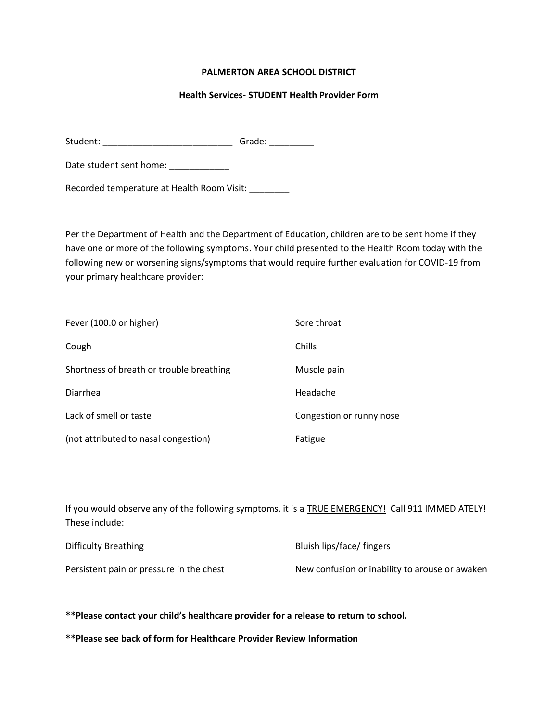## **PALMERTON AREA SCHOOL DISTRICT**

## **Health Services- STUDENT Health Provider Form**

Student: \_\_\_\_\_\_\_\_\_\_\_\_\_\_\_\_\_\_\_\_\_\_\_\_\_\_ Grade: \_\_\_\_\_\_\_\_\_

Date student sent home: \_\_\_\_\_\_\_\_\_\_\_\_

Recorded temperature at Health Room Visit: \_\_\_\_\_\_\_\_

Per the Department of Health and the Department of Education, children are to be sent home if they have one or more of the following symptoms. Your child presented to the Health Room today with the following new or worsening signs/symptoms that would require further evaluation for COVID-19 from your primary healthcare provider:

| Fever (100.0 or higher)                  | Sore throat              |
|------------------------------------------|--------------------------|
| Cough                                    | Chills                   |
| Shortness of breath or trouble breathing | Muscle pain              |
| Diarrhea                                 | Headache                 |
| Lack of smell or taste                   | Congestion or runny nose |
| (not attributed to nasal congestion)     | Fatigue                  |

If you would observe any of the following symptoms, it is a TRUE EMERGENCY! Call 911 IMMEDIATELY! These include:

| Difficulty Breathing                     | Bluish lips/face/ fingers                      |
|------------------------------------------|------------------------------------------------|
| Persistent pain or pressure in the chest | New confusion or inability to arouse or awaken |

**\*\*Please contact your child's healthcare provider for a release to return to school.** 

**\*\*Please see back of form for Healthcare Provider Review Information**